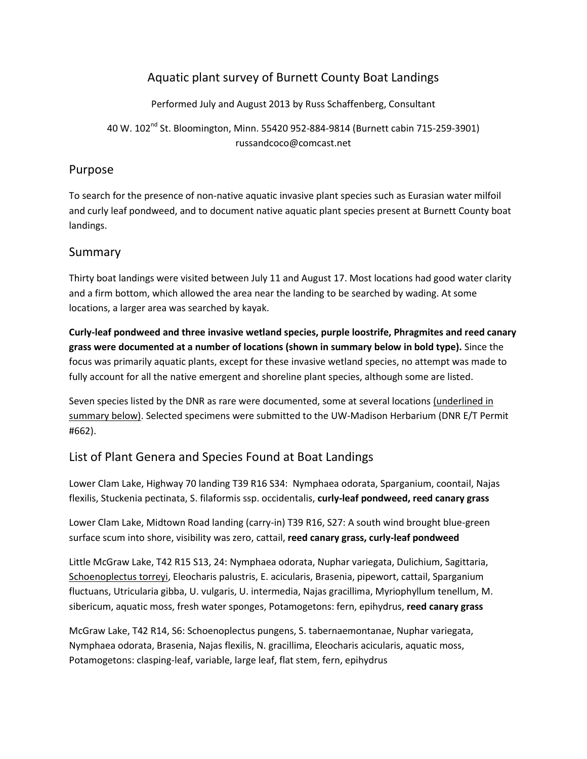## Aquatic plant survey of Burnett County Boat Landings

Performed July and August 2013 by Russ Schaffenberg, Consultant

40 W. 102nd St. Bloomington, Minn. 55420 952-884-9814 (Burnett cabin 715-259-3901) russandcoco@comcast.net

## Purpose

To search for the presence of non-native aquatic invasive plant species such as Eurasian water milfoil and curly leaf pondweed, and to document native aquatic plant species present at Burnett County boat landings.

## Summary

Thirty boat landings were visited between July 11 and August 17. Most locations had good water clarity and a firm bottom, which allowed the area near the landing to be searched by wading. At some locations, a larger area was searched by kayak.

**Curly-leaf pondweed and three invasive wetland species, purple loostrife, Phragmites and reed canary grass were documented at a number of locations (shown in summary below in bold type).** Since the focus was primarily aquatic plants, except for these invasive wetland species, no attempt was made to fully account for all the native emergent and shoreline plant species, although some are listed.

Seven species listed by the DNR as rare were documented, some at several locations (underlined in summary below). Selected specimens were submitted to the UW-Madison Herbarium (DNR E/T Permit #662).

## List of Plant Genera and Species Found at Boat Landings

Lower Clam Lake, Highway 70 landing T39 R16 S34: Nymphaea odorata, Sparganium, coontail, Najas flexilis, Stuckenia pectinata, S. filaformis ssp. occidentalis, **curly-leaf pondweed, reed canary grass**

Lower Clam Lake, Midtown Road landing (carry-in) T39 R16, S27: A south wind brought blue-green surface scum into shore, visibility was zero, cattail, **reed canary grass, curly-leaf pondweed**

Little McGraw Lake, T42 R15 S13, 24: Nymphaea odorata, Nuphar variegata, Dulichium, Sagittaria, Schoenoplectus torreyi, Eleocharis palustris, E. acicularis, Brasenia, pipewort, cattail, Sparganium fluctuans, Utricularia gibba, U. vulgaris, U. intermedia, Najas gracillima, Myriophyllum tenellum, M. sibericum, aquatic moss, fresh water sponges, Potamogetons: fern, epihydrus, **reed canary grass**

McGraw Lake, T42 R14, S6: Schoenoplectus pungens, S. tabernaemontanae, Nuphar variegata, Nymphaea odorata, Brasenia, Najas flexilis, N. gracillima, Eleocharis acicularis, aquatic moss, Potamogetons: clasping-leaf, variable, large leaf, flat stem, fern, epihydrus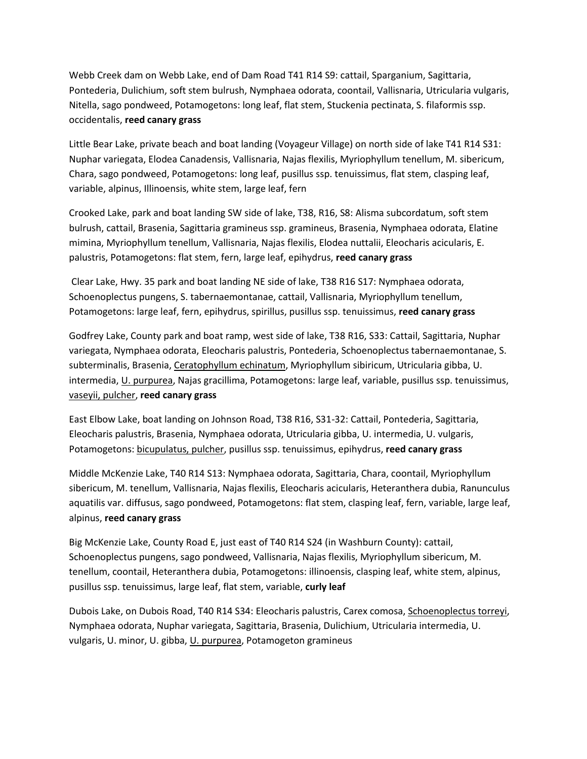Webb Creek dam on Webb Lake, end of Dam Road T41 R14 S9: cattail, Sparganium, Sagittaria, Pontederia, Dulichium, soft stem bulrush, Nymphaea odorata, coontail, Vallisnaria, Utricularia vulgaris, Nitella, sago pondweed, Potamogetons: long leaf, flat stem, Stuckenia pectinata, S. filaformis ssp. occidentalis, **reed canary grass**

Little Bear Lake, private beach and boat landing (Voyageur Village) on north side of lake T41 R14 S31: Nuphar variegata, Elodea Canadensis, Vallisnaria, Najas flexilis, Myriophyllum tenellum, M. sibericum, Chara, sago pondweed, Potamogetons: long leaf, pusillus ssp. tenuissimus, flat stem, clasping leaf, variable, alpinus, Illinoensis, white stem, large leaf, fern

Crooked Lake, park and boat landing SW side of lake, T38, R16, S8: Alisma subcordatum, soft stem bulrush, cattail, Brasenia, Sagittaria gramineus ssp. gramineus, Brasenia, Nymphaea odorata, Elatine mimina, Myriophyllum tenellum, Vallisnaria, Najas flexilis, Elodea nuttalii, Eleocharis acicularis, E. palustris, Potamogetons: flat stem, fern, large leaf, epihydrus, **reed canary grass**

Clear Lake, Hwy. 35 park and boat landing NE side of lake, T38 R16 S17: Nymphaea odorata, Schoenoplectus pungens, S. tabernaemontanae, cattail, Vallisnaria, Myriophyllum tenellum, Potamogetons: large leaf, fern, epihydrus, spirillus, pusillus ssp. tenuissimus, **reed canary grass**

Godfrey Lake, County park and boat ramp, west side of lake, T38 R16, S33: Cattail, Sagittaria, Nuphar variegata, Nymphaea odorata, Eleocharis palustris, Pontederia, Schoenoplectus tabernaemontanae, S. subterminalis, Brasenia, Ceratophyllum echinatum, Myriophyllum sibiricum, Utricularia gibba, U. intermedia, U. purpurea, Najas gracillima, Potamogetons: large leaf, variable, pusillus ssp. tenuissimus, vaseyii, pulcher, **reed canary grass**

East Elbow Lake, boat landing on Johnson Road, T38 R16, S31-32: Cattail, Pontederia, Sagittaria, Eleocharis palustris, Brasenia, Nymphaea odorata, Utricularia gibba, U. intermedia, U. vulgaris, Potamogetons: bicupulatus, pulcher, pusillus ssp. tenuissimus, epihydrus, **reed canary grass**

Middle McKenzie Lake, T40 R14 S13: Nymphaea odorata, Sagittaria, Chara, coontail, Myriophyllum sibericum, M. tenellum, Vallisnaria, Najas flexilis, Eleocharis acicularis, Heteranthera dubia, Ranunculus aquatilis var. diffusus, sago pondweed, Potamogetons: flat stem, clasping leaf, fern, variable, large leaf, alpinus, **reed canary grass**

Big McKenzie Lake, County Road E, just east of T40 R14 S24 (in Washburn County): cattail, Schoenoplectus pungens, sago pondweed, Vallisnaria, Najas flexilis, Myriophyllum sibericum, M. tenellum, coontail, Heteranthera dubia, Potamogetons: illinoensis, clasping leaf, white stem, alpinus, pusillus ssp. tenuissimus, large leaf, flat stem, variable, **curly leaf**

Dubois Lake, on Dubois Road, T40 R14 S34: Eleocharis palustris, Carex comosa, Schoenoplectus torreyi, Nymphaea odorata, Nuphar variegata, Sagittaria, Brasenia, Dulichium, Utricularia intermedia, U. vulgaris, U. minor, U. gibba, U. purpurea, Potamogeton gramineus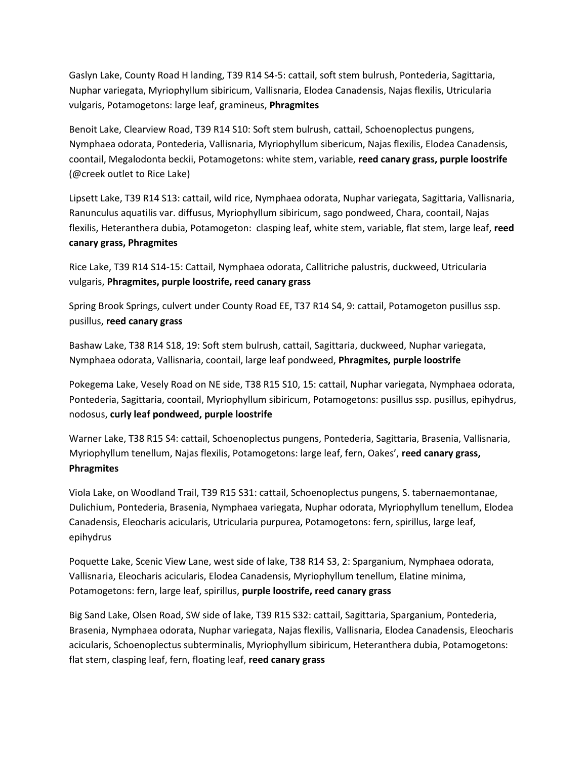Gaslyn Lake, County Road H landing, T39 R14 S4-5: cattail, soft stem bulrush, Pontederia, Sagittaria, Nuphar variegata, Myriophyllum sibiricum, Vallisnaria, Elodea Canadensis, Najas flexilis, Utricularia vulgaris, Potamogetons: large leaf, gramineus, **Phragmites**

Benoit Lake, Clearview Road, T39 R14 S10: Soft stem bulrush, cattail, Schoenoplectus pungens, Nymphaea odorata, Pontederia, Vallisnaria, Myriophyllum sibericum, Najas flexilis, Elodea Canadensis, coontail, Megalodonta beckii, Potamogetons: white stem, variable, **reed canary grass, purple loostrife**  (@creek outlet to Rice Lake)

Lipsett Lake, T39 R14 S13: cattail, wild rice, Nymphaea odorata, Nuphar variegata, Sagittaria, Vallisnaria, Ranunculus aquatilis var. diffusus, Myriophyllum sibiricum, sago pondweed, Chara, coontail, Najas flexilis, Heteranthera dubia, Potamogeton: clasping leaf, white stem, variable, flat stem, large leaf, **reed canary grass, Phragmites**

Rice Lake, T39 R14 S14-15: Cattail, Nymphaea odorata, Callitriche palustris, duckweed, Utricularia vulgaris, **Phragmites, purple loostrife, reed canary grass**

Spring Brook Springs, culvert under County Road EE, T37 R14 S4, 9: cattail, Potamogeton pusillus ssp. pusillus, **reed canary grass**

Bashaw Lake, T38 R14 S18, 19: Soft stem bulrush, cattail, Sagittaria, duckweed, Nuphar variegata, Nymphaea odorata, Vallisnaria, coontail, large leaf pondweed, **Phragmites, purple loostrife**

Pokegema Lake, Vesely Road on NE side, T38 R15 S10, 15: cattail, Nuphar variegata, Nymphaea odorata, Pontederia, Sagittaria, coontail, Myriophyllum sibiricum, Potamogetons: pusillus ssp. pusillus, epihydrus, nodosus, **curly leaf pondweed, purple loostrife**

Warner Lake, T38 R15 S4: cattail, Schoenoplectus pungens, Pontederia, Sagittaria, Brasenia, Vallisnaria, Myriophyllum tenellum, Najas flexilis, Potamogetons: large leaf, fern, Oakes', **reed canary grass, Phragmites**

Viola Lake, on Woodland Trail, T39 R15 S31: cattail, Schoenoplectus pungens, S. tabernaemontanae, Dulichium, Pontederia, Brasenia, Nymphaea variegata, Nuphar odorata, Myriophyllum tenellum, Elodea Canadensis, Eleocharis acicularis, Utricularia purpurea, Potamogetons: fern, spirillus, large leaf, epihydrus

Poquette Lake, Scenic View Lane, west side of lake, T38 R14 S3, 2: Sparganium, Nymphaea odorata, Vallisnaria, Eleocharis acicularis, Elodea Canadensis, Myriophyllum tenellum, Elatine minima, Potamogetons: fern, large leaf, spirillus, **purple loostrife, reed canary grass**

Big Sand Lake, Olsen Road, SW side of lake, T39 R15 S32: cattail, Sagittaria, Sparganium, Pontederia, Brasenia, Nymphaea odorata, Nuphar variegata, Najas flexilis, Vallisnaria, Elodea Canadensis, Eleocharis acicularis, Schoenoplectus subterminalis, Myriophyllum sibiricum, Heteranthera dubia, Potamogetons: flat stem, clasping leaf, fern, floating leaf, **reed canary grass**